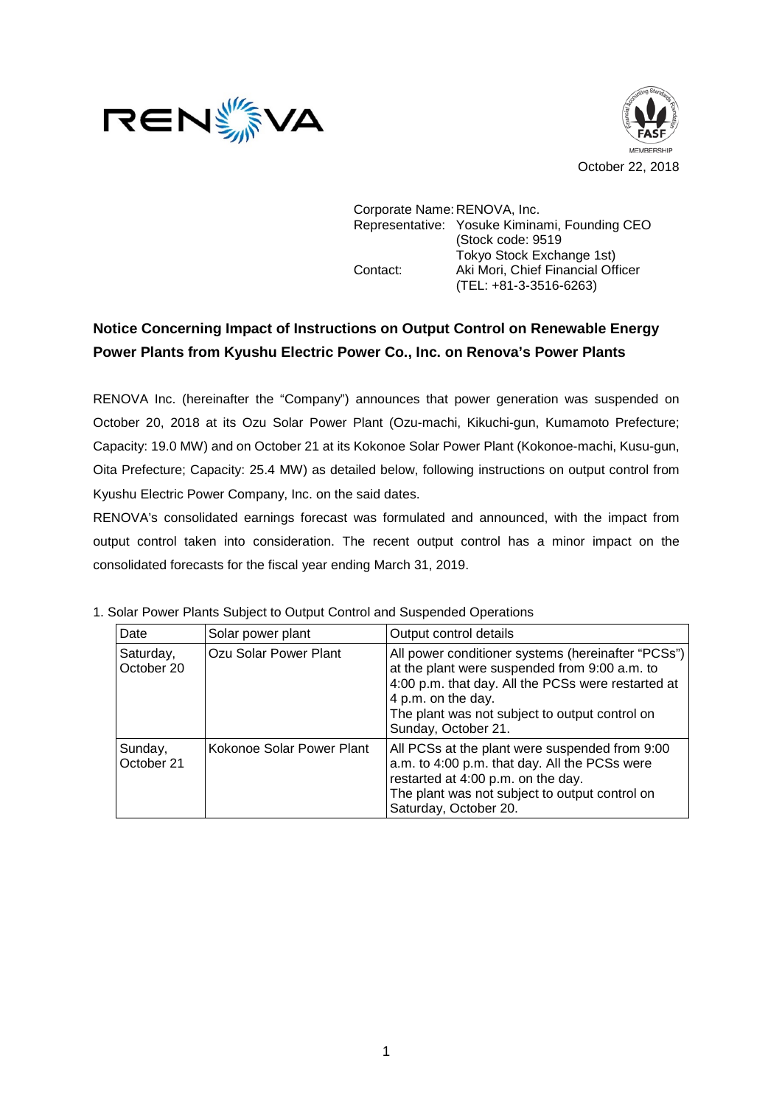



Corporate Name: RENOVA, Inc. Representative: Yosuke Kiminami, Founding CEO (Stock code: 9519 Tokyo Stock Exchange 1st) Contact: Aki Mori, Chief Financial Officer (TEL: +81-3-3516-6263)

## **Notice Concerning Impact of Instructions on Output Control on Renewable Energy Power Plants from Kyushu Electric Power Co., Inc. on Renova's Power Plants**

RENOVA Inc. (hereinafter the "Company") announces that power generation was suspended on October 20, 2018 at its Ozu Solar Power Plant (Ozu-machi, Kikuchi-gun, Kumamoto Prefecture; Capacity: 19.0 MW) and on October 21 at its Kokonoe Solar Power Plant (Kokonoe-machi, Kusu-gun, Oita Prefecture; Capacity: 25.4 MW) as detailed below, following instructions on output control from Kyushu Electric Power Company, Inc. on the said dates.

RENOVA's consolidated earnings forecast was formulated and announced, with the impact from output control taken into consideration. The recent output control has a minor impact on the consolidated forecasts for the fiscal year ending March 31, 2019.

| Date                    | Solar power plant         | Output control details                                                                                                                                                                                                                                     |
|-------------------------|---------------------------|------------------------------------------------------------------------------------------------------------------------------------------------------------------------------------------------------------------------------------------------------------|
| Saturday,<br>October 20 | Ozu Solar Power Plant     | All power conditioner systems (hereinafter "PCSs")  <br>at the plant were suspended from 9:00 a.m. to<br>4:00 p.m. that day. All the PCSs were restarted at<br>4 p.m. on the day.<br>The plant was not subject to output control on<br>Sunday, October 21. |
| Sunday,<br>October 21   | Kokonoe Solar Power Plant | All PCSs at the plant were suspended from 9:00<br>a.m. to 4:00 p.m. that day. All the PCSs were<br>restarted at 4:00 p.m. on the day.<br>The plant was not subject to output control on<br>Saturday, October 20.                                           |

1. Solar Power Plants Subject to Output Control and Suspended Operations